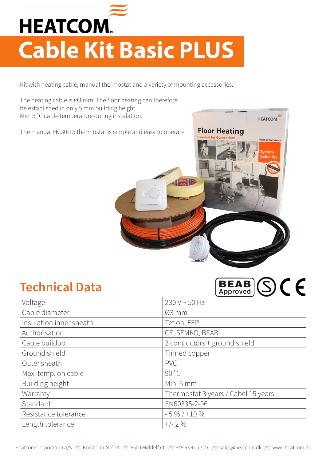

## **Cable Kit Basic PLUS**

Kit with heating cable, manual thermostat and a variety of mounting accessories.

The heating cable is Ø3 mm. The floor heating can therefore be established in only 5 mm building height. Min. 5˚C cable temperature during instalation.

The manual HC30-15 thermostat is simple and easy to operate.



## **Technical Data**

| в<br>IEW B<br>Approved |  |  |
|------------------------|--|--|
|                        |  |  |

**HEATCOM** 

| Voltage                 | 230 V ~ 50 Hz                       |  |
|-------------------------|-------------------------------------|--|
| Cable diameter          | $Ø3$ mm                             |  |
| Insulation inner sheath | Teflon, FEP                         |  |
| Authorisation           | CE, SEMKO, BEAB                     |  |
| Cable buildup           | 2 conductors + ground shield        |  |
| Ground shield           | Tinned copper                       |  |
| Outer sheath            | <b>PVC</b>                          |  |
| Max. temp. on cable     | 90°C                                |  |
| Building height         | Min. 5 mm                           |  |
| Warranty                | Thermostat 3 years / Cabel 15 years |  |
| Standard                | EN60335-2-96                        |  |
| Resistance tolerance    | $-5\% / +10\%$                      |  |
| Length tolerance        | $+/- 2\%$                           |  |